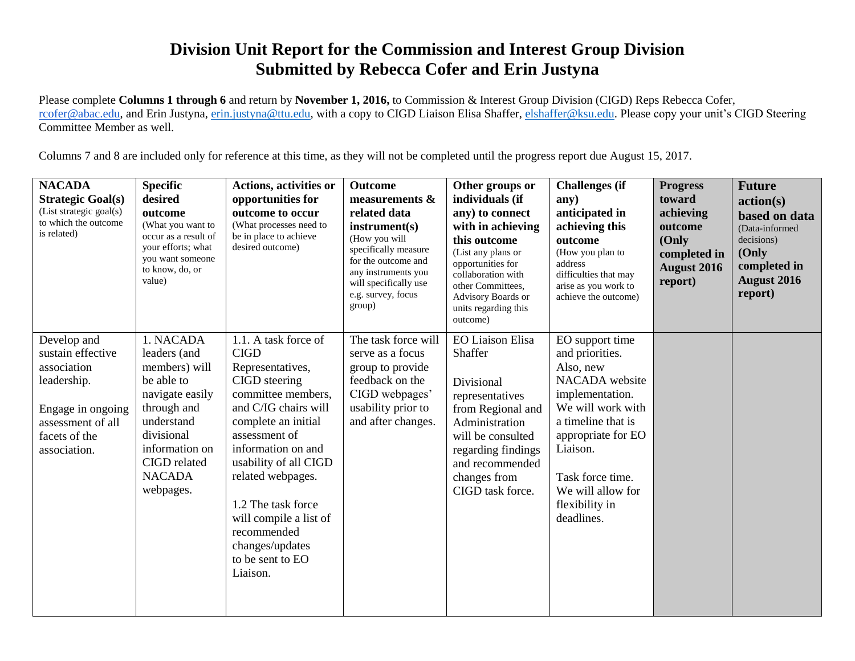## **Division Unit Report for the Commission and Interest Group Division Submitted by Rebecca Cofer and Erin Justyna**

Please complete **Columns 1 through 6** and return by **November 1, 2016,** to Commission & Interest Group Division (CIGD) Reps Rebecca Cofer, [rcofer@abac.edu,](mailto:rcofer@abac.edu) and Erin Justyna, [erin.justyna@ttu.edu,](mailto:erin.justyna@ttu.edu) with a copy to CIGD Liaison Elisa Shaffer, [elshaffer@ksu.edu.](mailto:elshaffer@ksu.edu) Please copy your unit's CIGD Steering Committee Member as well.

Columns 7 and 8 are included only for reference at this time, as they will not be completed until the progress report due August 15, 2017.

| <b>NACADA</b><br><b>Strategic Goal(s)</b><br>(List strategic goal(s)<br>to which the outcome<br>is related)                               | <b>Specific</b><br>desired<br>outcome<br>(What you want to<br>occur as a result of<br>your efforts; what<br>you want someone<br>to know, do, or<br>value)                              | <b>Actions, activities or</b><br>opportunities for<br>outcome to occur<br>(What processes need to<br>be in place to achieve<br>desired outcome)                                                                                                                                                                                                      | <b>Outcome</b><br>measurements &<br>related data<br>instrument(s)<br>(How you will<br>specifically measure<br>for the outcome and<br>any instruments you<br>will specifically use<br>e.g. survey, focus<br>group) | Other groups or<br>individuals (if<br>any) to connect<br>with in achieving<br>this outcome<br>(List any plans or<br>opportunities for<br>collaboration with<br>other Committees,<br>Advisory Boards or<br>units regarding this<br>outcome) | <b>Challenges</b> (if<br>any)<br>anticipated in<br>achieving this<br>outcome<br>(How you plan to<br>address<br>difficulties that may<br>arise as you work to<br>achieve the outcome)                                                       | <b>Progress</b><br>toward<br>achieving<br>outcome<br>(Only<br>completed in<br>August 2016<br>report) | <b>Future</b><br>action(s)<br>based on data<br>(Data-informed<br>decisions)<br>(Only<br>completed in<br><b>August 2016</b><br>report) |
|-------------------------------------------------------------------------------------------------------------------------------------------|----------------------------------------------------------------------------------------------------------------------------------------------------------------------------------------|------------------------------------------------------------------------------------------------------------------------------------------------------------------------------------------------------------------------------------------------------------------------------------------------------------------------------------------------------|-------------------------------------------------------------------------------------------------------------------------------------------------------------------------------------------------------------------|--------------------------------------------------------------------------------------------------------------------------------------------------------------------------------------------------------------------------------------------|--------------------------------------------------------------------------------------------------------------------------------------------------------------------------------------------------------------------------------------------|------------------------------------------------------------------------------------------------------|---------------------------------------------------------------------------------------------------------------------------------------|
| Develop and<br>sustain effective<br>association<br>leadership.<br>Engage in ongoing<br>assessment of all<br>facets of the<br>association. | 1. NACADA<br>leaders (and<br>members) will<br>be able to<br>navigate easily<br>through and<br>understand<br>divisional<br>information on<br>CIGD related<br><b>NACADA</b><br>webpages. | 1.1. A task force of<br><b>CIGD</b><br>Representatives,<br>CIGD steering<br>committee members,<br>and C/IG chairs will<br>complete an initial<br>assessment of<br>information on and<br>usability of all CIGD<br>related webpages.<br>1.2 The task force<br>will compile a list of<br>recommended<br>changes/updates<br>to be sent to EO<br>Liaison. | The task force will<br>serve as a focus<br>group to provide<br>feedback on the<br>CIGD webpages'<br>usability prior to<br>and after changes.                                                                      | <b>EO Liaison Elisa</b><br>Shaffer<br>Divisional<br>representatives<br>from Regional and<br>Administration<br>will be consulted<br>regarding findings<br>and recommended<br>changes from<br>CIGD task force.                               | EO support time<br>and priorities.<br>Also, new<br>NACADA website<br>implementation.<br>We will work with<br>a timeline that is<br>appropriate for EO<br>Liaison.<br>Task force time.<br>We will allow for<br>flexibility in<br>deadlines. |                                                                                                      |                                                                                                                                       |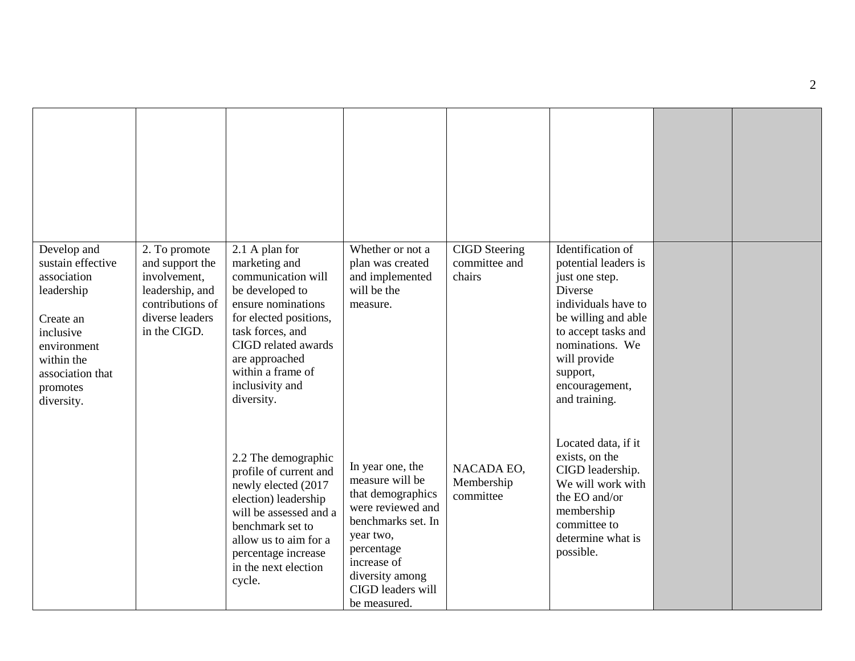| Develop and<br>sustain effective<br>association<br>leadership<br>Create an<br>inclusive<br>environment<br>within the<br>association that<br>promotes<br>diversity. | 2. To promote<br>and support the<br>involvement,<br>leadership, and<br>contributions of<br>diverse leaders<br>in the CIGD. | 2.1 A plan for<br>marketing and<br>communication will<br>be developed to<br>ensure nominations<br>for elected positions,<br>task forces, and<br>CIGD related awards<br>are approached<br>within a frame of<br>inclusivity and<br>diversity. | Whether or not a<br>plan was created<br>and implemented<br>will be the<br>measure.                                                                                                                    | <b>CIGD</b> Steering<br>committee and<br>chairs | Identification of<br>potential leaders is<br>just one step.<br>Diverse<br>individuals have to<br>be willing and able<br>to accept tasks and<br>nominations. We<br>will provide<br>support,<br>encouragement,<br>and training. |  |
|--------------------------------------------------------------------------------------------------------------------------------------------------------------------|----------------------------------------------------------------------------------------------------------------------------|---------------------------------------------------------------------------------------------------------------------------------------------------------------------------------------------------------------------------------------------|-------------------------------------------------------------------------------------------------------------------------------------------------------------------------------------------------------|-------------------------------------------------|-------------------------------------------------------------------------------------------------------------------------------------------------------------------------------------------------------------------------------|--|
|                                                                                                                                                                    |                                                                                                                            | 2.2 The demographic<br>profile of current and<br>newly elected (2017<br>election) leadership<br>will be assessed and a<br>benchmark set to<br>allow us to aim for a<br>percentage increase<br>in the next election<br>cycle.                | In year one, the<br>measure will be<br>that demographics<br>were reviewed and<br>benchmarks set. In<br>year two,<br>percentage<br>increase of<br>diversity among<br>CIGD leaders will<br>be measured. | NACADA EO,<br>Membership<br>committee           | Located data, if it<br>exists, on the<br>CIGD leadership.<br>We will work with<br>the EO and/or<br>membership<br>committee to<br>determine what is<br>possible.                                                               |  |